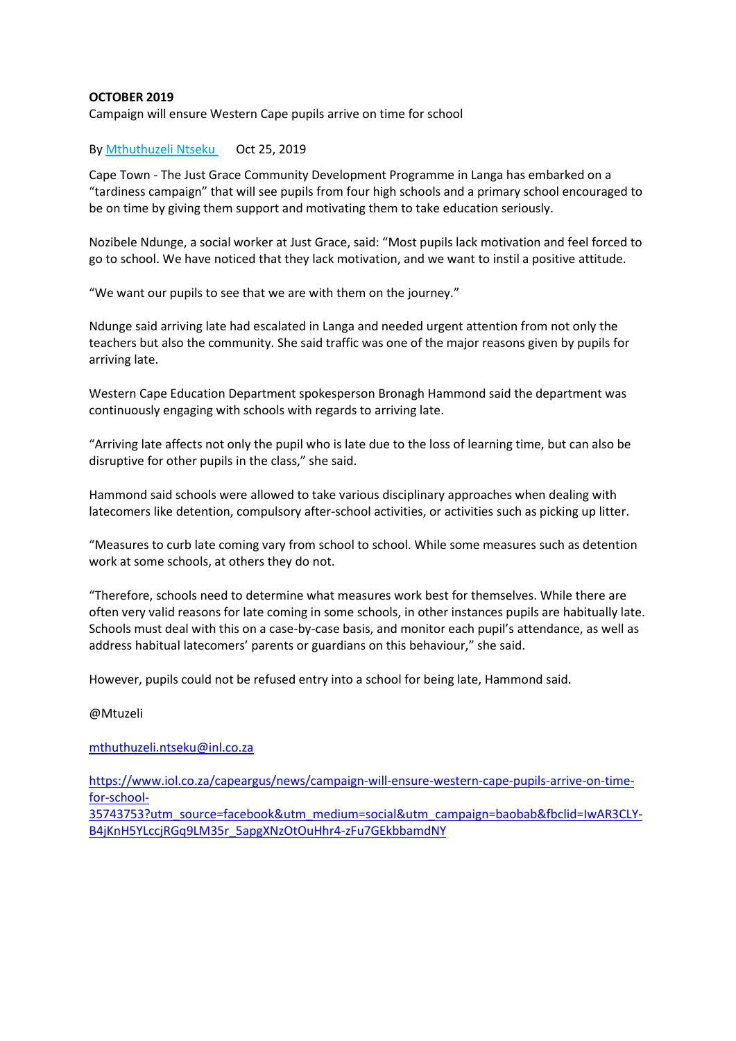## **OCTOBER 2019**

Campaign will ensure Western Cape pupils arrive on time for school

## By [Mthuthuzeli Ntseku](https://www.iol.co.za/authors/mthuthuzeli-ntseku) Oct 25, 2019

Cape Town - The Just Grace Community Development Programme in Langa has embarked on a "tardiness campaign" that will see pupils from four high schools and a primary school encouraged to be on time by giving them support and motivating them to take education seriously.

Nozibele Ndunge, a social worker at Just Grace, said: "Most pupils lack motivation and feel forced to go to school. We have noticed that they lack motivation, and we want to instil a positive attitude.

"We want our pupils to see that we are with them on the journey."

Ndunge said arriving late had escalated in Langa and needed urgent attention from not only the teachers but also the community. She said traffic was one of the major reasons given by pupils for arriving late.

Western Cape Education Department spokesperson Bronagh Hammond said the department was continuously engaging with schools with regards to arriving late.

"Arriving late affects not only the pupil who is late due to the loss of learning time, but can also be disruptive for other pupils in the class," she said.

Hammond said schools were allowed to take various disciplinary approaches when dealing with latecomers like detention, compulsory after-school activities, or activities such as picking up litter.

"Measures to curb late coming vary from school to school. While some measures such as detention work at some schools, at others they do not.

"Therefore, schools need to determine what measures work best for themselves. While there are often very valid reasons for late coming in some schools, in other instances pupils are habitually late. Schools must deal with this on a case-by-case basis, and monitor each pupil's attendance, as well as address habitual latecomers' parents or guardians on this behaviour," she said.

However, pupils could not be refused entry into a school for being late, Hammond said.

#### @Mtuzeli

#### [mthuthuzeli.ntseku@inl.co.za](mailto:mthuthuzeli.ntseku@inl.co.za)

[https://www.iol.co.za/capeargus/news/campaign-will-ensure-western-cape-pupils-arrive-on-time](https://www.iol.co.za/capeargus/news/campaign-will-ensure-western-cape-pupils-arrive-on-time-for-school-35743753?utm_source=facebook&utm_medium=social&utm_campaign=baobab&fbclid=IwAR3CLY-B4jKnH5YLccjRGq9LM35r_5apgXNzOtOuHhr4-zFu7GEkbbamdNY)[for-school-](https://www.iol.co.za/capeargus/news/campaign-will-ensure-western-cape-pupils-arrive-on-time-for-school-35743753?utm_source=facebook&utm_medium=social&utm_campaign=baobab&fbclid=IwAR3CLY-B4jKnH5YLccjRGq9LM35r_5apgXNzOtOuHhr4-zFu7GEkbbamdNY)

[35743753?utm\\_source=facebook&utm\\_medium=social&utm\\_campaign=baobab&fbclid=IwAR3CLY-](https://www.iol.co.za/capeargus/news/campaign-will-ensure-western-cape-pupils-arrive-on-time-for-school-35743753?utm_source=facebook&utm_medium=social&utm_campaign=baobab&fbclid=IwAR3CLY-B4jKnH5YLccjRGq9LM35r_5apgXNzOtOuHhr4-zFu7GEkbbamdNY)[B4jKnH5YLccjRGq9LM35r\\_5apgXNzOtOuHhr4-zFu7GEkbbamdNY](https://www.iol.co.za/capeargus/news/campaign-will-ensure-western-cape-pupils-arrive-on-time-for-school-35743753?utm_source=facebook&utm_medium=social&utm_campaign=baobab&fbclid=IwAR3CLY-B4jKnH5YLccjRGq9LM35r_5apgXNzOtOuHhr4-zFu7GEkbbamdNY)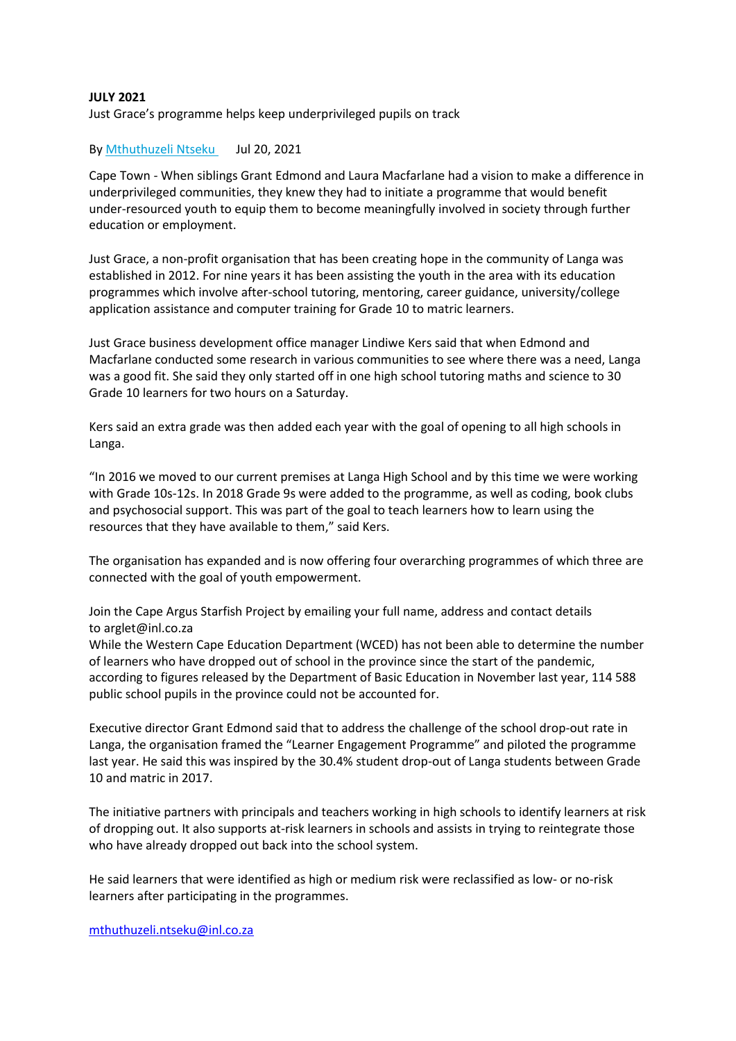## **JULY 2021**

Just Grace's programme helps keep underprivileged pupils on track

## By [Mthuthuzeli Ntseku](https://www.iol.co.za/authors/mthuthuzeli-ntseku) Jul 20, 2021

Cape Town - When siblings Grant Edmond and Laura Macfarlane had a vision to make a difference in underprivileged communities, they knew they had to initiate a programme that would benefit under-resourced youth to equip them to become meaningfully involved in society through further education or employment.

Just Grace, a non-profit organisation that has been creating hope in the community of Langa was established in 2012. For nine years it has been assisting the youth in the area with its education programmes which involve after-school tutoring, mentoring, career guidance, university/college application assistance and computer training for Grade 10 to matric learners.

Just Grace business development office manager Lindiwe Kers said that when Edmond and Macfarlane conducted some research in various communities to see where there was a need, Langa was a good fit. She said they only started off in one high school tutoring maths and science to 30 Grade 10 learners for two hours on a Saturday.

Kers said an extra grade was then added each year with the goal of opening to all high schools in Langa.

"In 2016 we moved to our current premises at Langa High School and by this time we were working with Grade 10s-12s. In 2018 Grade 9s were added to the programme, as well as coding, book clubs and psychosocial support. This was part of the goal to teach learners how to learn using the resources that they have available to them," said Kers.

The organisation has expanded and is now offering four overarching programmes of which three are connected with the goal of youth empowerment.

Join the Cape Argus Starfish Project by emailing your full name, address and contact details to arglet@inl.co.za

While the Western Cape Education Department (WCED) has not been able to determine the number of learners who have dropped out of school in the province since the start of the pandemic, according to figures released by the Department of Basic Education in November last year, 114 588 public school pupils in the province could not be accounted for.

Executive director Grant Edmond said that to address the challenge of the school drop-out rate in Langa, the organisation framed the "Learner Engagement Programme" and piloted the programme last year. He said this was inspired by the 30.4% student drop-out of Langa students between Grade 10 and matric in 2017.

The initiative partners with principals and teachers working in high schools to identify learners at risk of dropping out. It also supports at-risk learners in schools and assists in trying to reintegrate those who have already dropped out back into the school system.

He said learners that were identified as high or medium risk were reclassified as low- or no-risk learners after participating in the programmes.

[mthuthuzeli.ntseku@inl.co.za](mailto:mthuthuzeli.ntseku@inl.co.za)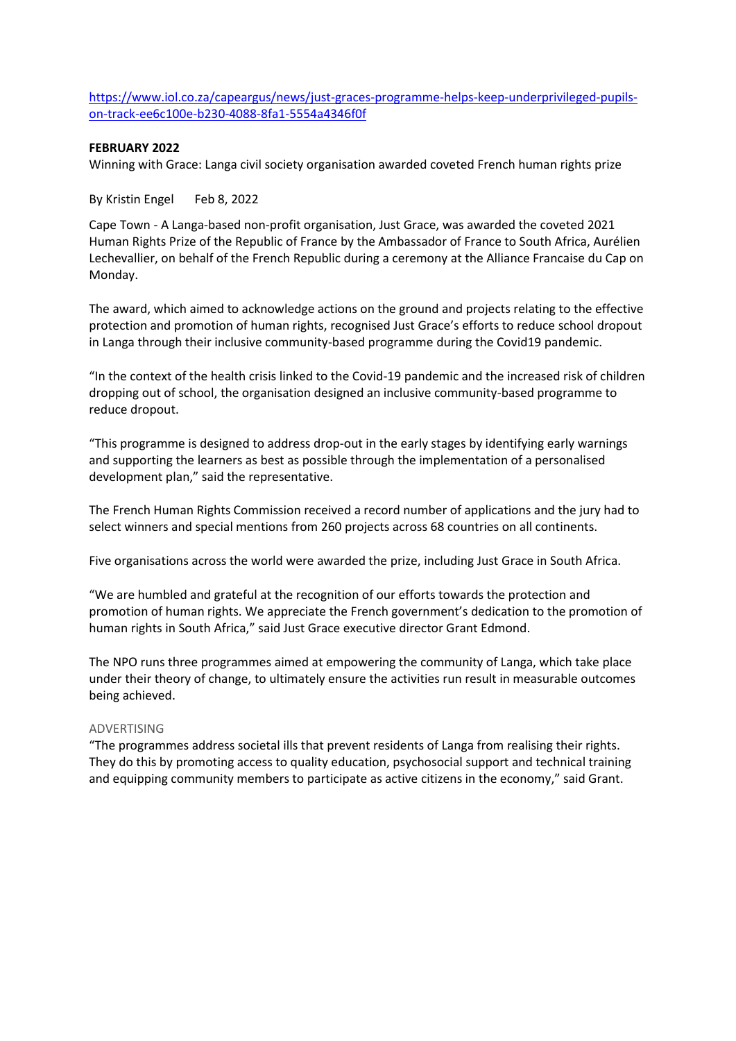[https://www.iol.co.za/capeargus/news/just-graces-programme-helps-keep-underprivileged-pupils](https://www.iol.co.za/capeargus/news/just-graces-programme-helps-keep-underprivileged-pupils-on-track-ee6c100e-b230-4088-8fa1-5554a4346f0f)[on-track-ee6c100e-b230-4088-8fa1-5554a4346f0f](https://www.iol.co.za/capeargus/news/just-graces-programme-helps-keep-underprivileged-pupils-on-track-ee6c100e-b230-4088-8fa1-5554a4346f0f)

## **FEBRUARY 2022**

Winning with Grace: Langa civil society organisation awarded coveted French human rights prize

By Kristin Engel Feb 8, 2022

Cape Town - A Langa-based non-profit organisation, Just Grace, was awarded the coveted 2021 Human Rights Prize of the Republic of France by the Ambassador of France to South Africa, Aurélien Lechevallier, on behalf of the French Republic during a ceremony at the Alliance Francaise du Cap on Monday.

The award, which aimed to acknowledge actions on the ground and projects relating to the effective protection and promotion of human rights, recognised Just Grace's efforts to reduce school dropout in Langa through their inclusive community-based programme during the Covid19 pandemic.

"In the context of the health crisis linked to the Covid-19 pandemic and the increased risk of children dropping out of school, the organisation designed an inclusive community-based programme to reduce dropout.

"This programme is designed to address drop-out in the early stages by identifying early warnings and supporting the learners as best as possible through the implementation of a personalised development plan," said the representative.

The French Human Rights Commission received a record number of applications and the jury had to select winners and special mentions from 260 projects across 68 countries on all continents.

Five organisations across the world were awarded the prize, including Just Grace in South Africa.

"We are humbled and grateful at the recognition of our efforts towards the protection and promotion of human rights. We appreciate the French government's dedication to the promotion of human rights in South Africa," said Just Grace executive director Grant Edmond.

The NPO runs three programmes aimed at empowering the community of Langa, which take place under their theory of change, to ultimately ensure the activities run result in measurable outcomes being achieved.

#### ADVERTISING

"The programmes address societal ills that prevent residents of Langa from realising their rights. They do this by promoting access to quality education, psychosocial support and technical training and equipping community members to participate as active citizens in the economy," said Grant.